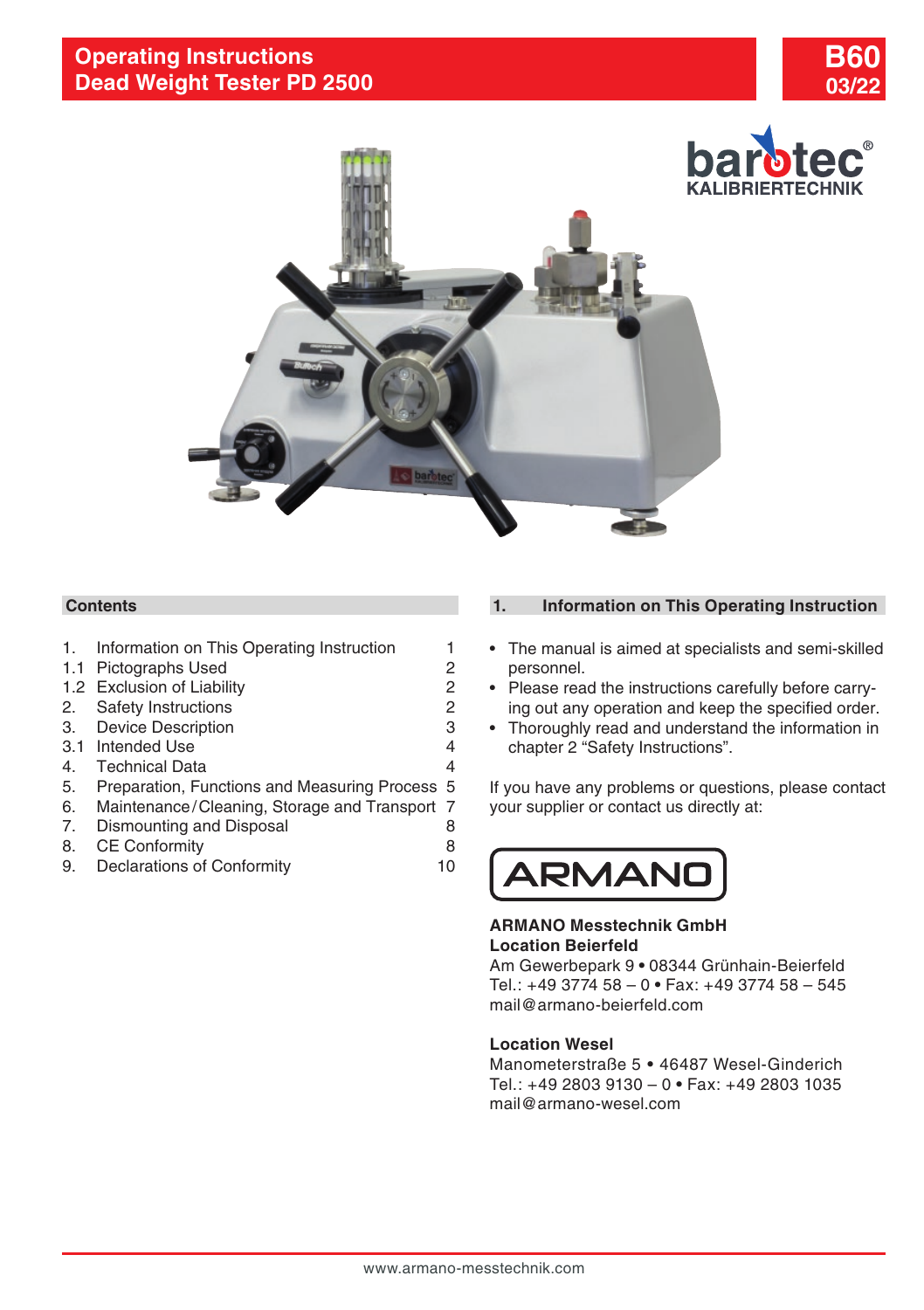



# **Contents**

- 1. Information on This Operating Instruction 1
- [1.1 Pictographs Used](#page-1-0) 2
- [1.2 Exclusion of Liability](#page-1-0) 2
- 2. [Safety Instructions](#page-1-0) 2
- 3. [Device Description](#page-2-0) 3
- [3.1 Intended Use](#page-3-0) 4
- 
- 4. [Technical Data](#page-3-0)<br>5. Preparation, Functions and Measuring Process, 5 5. [Preparation, Functions and Measuring Process](#page-4-0) 5
- 6. [Maintenance/Cleaning, Storage and Transport](#page-6-0) 7
- 7. [Dismounting and Disposal](#page-7-0) 8<br>8 CE Conformity
- 8. [CE Conformity](#page-7-0) 8
- 9. [Declarations of Conformity](#page-9-0) 10

# **1. Information on This Operating Instruction**

- The manual is aimed at specialists and semi-skilled personnel.
- Please read the instructions carefully before carrying out any operation and keep the specified order.
- Thoroughly read and understand the information in chapter 2 "Safety Instructions".

If you have any problems or questions, please contact your supplier or contact us directly at:



## **ARMANO Messtechnik GmbH Location Beierfeld**

Am Gewerbepark 9 **•** 08344 Grünhain-Beierfeld Tel.: +49 3774 58 – 0 **•** Fax: +49 3774 58 – 545 mail@armano-beierfeld.com

## **Location Wesel**

Manometerstraße 5 **•** 46487 Wesel-Ginderich Tel.: +49 2803 9130 – 0 **•** Fax: +49 2803 1035 mail@armano-wesel.com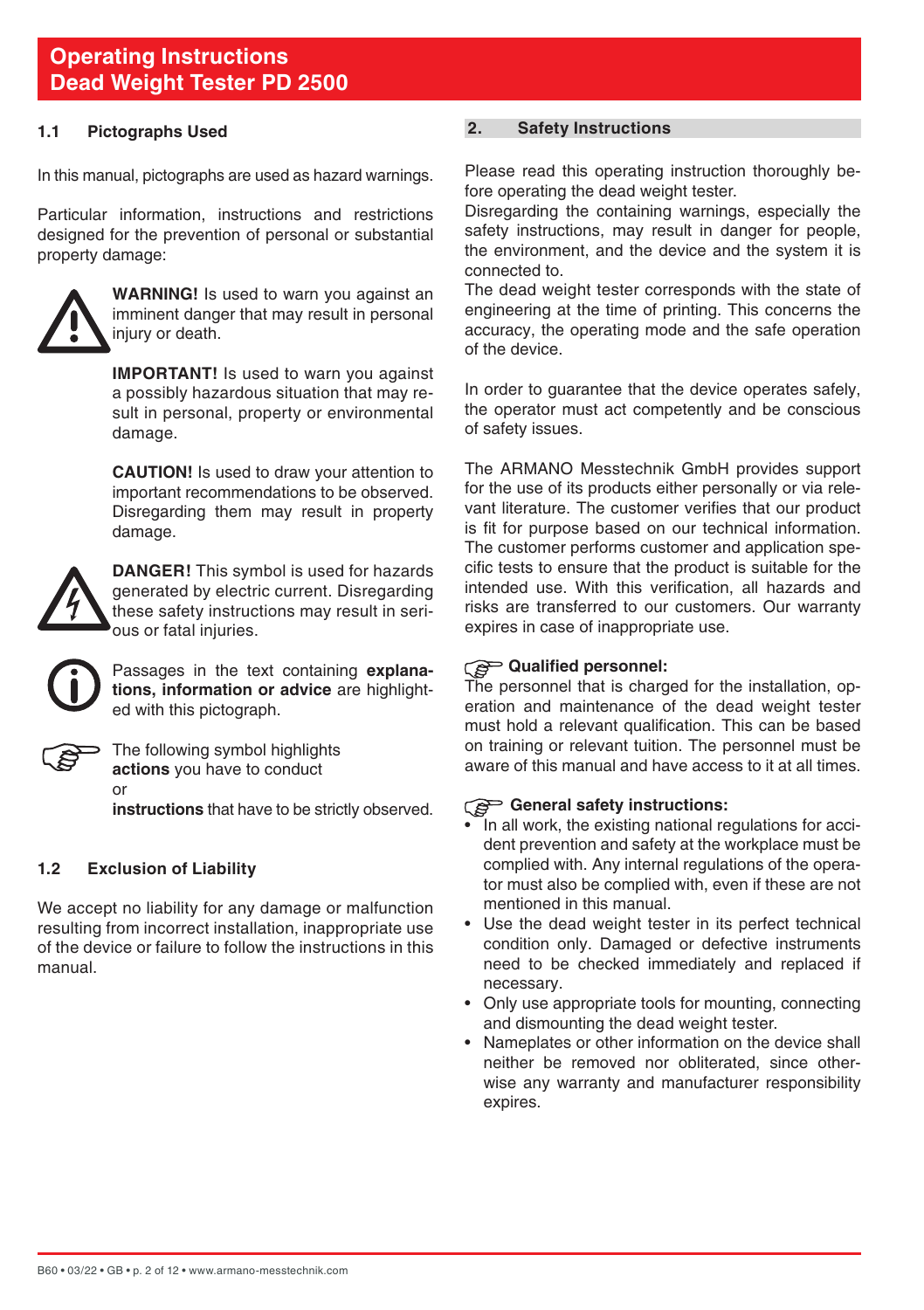#### <span id="page-1-0"></span>**1.1 Pictographs Used**

In this manual, pictographs are used as hazard warnings.

Particular information, instructions and restrictions designed for the prevention of personal or substantial property damage:



**WARNING!** Is used to warn you against an imminent danger that may result in personal injury or death.

**IMPORTANT!** Is used to warn you against a possibly hazardous situation that may result in personal, property or environmental damage.

 **CAUTION!** Is used to draw your attention to important recommendations to be observed. Disregarding them may result in property damage.



**DANGER!** This symbol is used for hazards generated by electric current. Disregarding these safety instructions may result in serious or fatal injuries.



Passages in the text containing **explanations, information or advice** are highlighted with this pictograph.



The following symbol highlights **actions** you have to conduct or

**instructions** that have to be strictly observed.

#### **1.2 Exclusion of Liability**

We accept no liability for any damage or malfunction resulting from incorrect installation, inappropriate use of the device or failure to follow the instructions in this manual.

## **2. Safety Instructions**

Please read this operating instruction thoroughly before operating the dead weight tester.

Disregarding the containing warnings, especially the safety instructions, may result in danger for people. the environment, and the device and the system it is connected to.

The dead weight tester corresponds with the state of engineering at the time of printing. This concerns the accuracy, the operating mode and the safe operation of the device.

In order to guarantee that the device operates safely. the operator must act competently and be conscious of safety issues.

The ARMANO Messtechnik GmbH provides support for the use of its products either personally or via relevant literature. The customer verifies that our product is fit for purpose based on our technical information. The customer performs customer and application specific tests to ensure that the product is suitable for the intended use. With this verification, all hazards and risks are transferred to our customers. Our warranty expires in case of inappropriate use.

# **Qualified personnel:**

The personnel that is charged for the installation, operation and maintenance of the dead weight tester must hold a relevant qualification. This can be based on training or relevant tuition. The personnel must be aware of this manual and have access to it at all times.

#### General safety instructions:

- In all work, the existing national regulations for accident prevention and safety at the workplace must be complied with. Any internal regulations of the operator must also be complied with, even if these are not mentioned in this manual.
- Use the dead weight tester in its perfect technical condition only. Damaged or defective instruments need to be checked immediately and replaced if necessary.
- Only use appropriate tools for mounting, connecting and dismounting the dead weight tester.
- Nameplates or other information on the device shall neither be removed nor obliterated, since otherwise any warranty and manufacturer responsibility expires.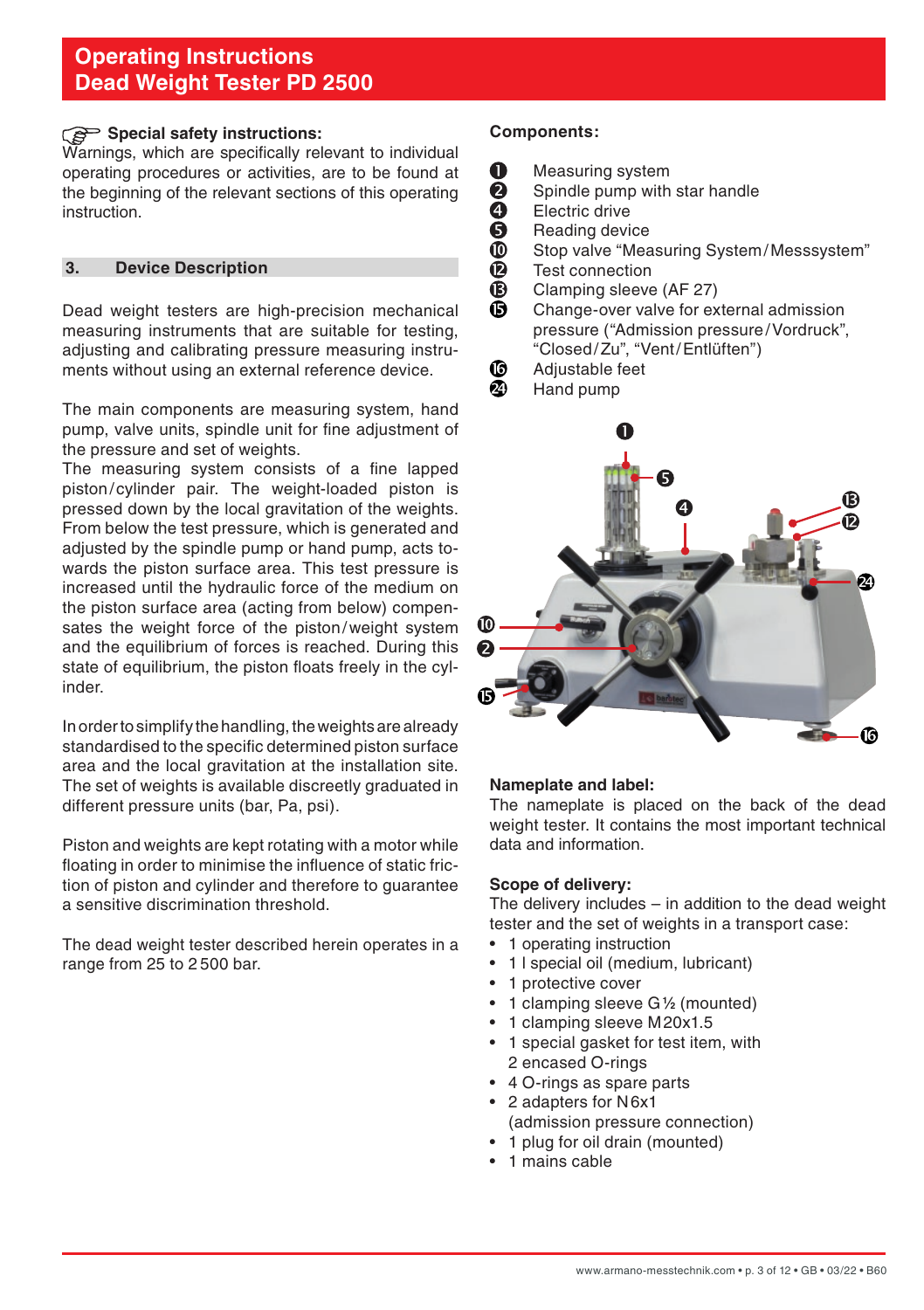## <span id="page-2-0"></span>**Special safety instructions:**

Warnings, which are specifically relevant to individual operating procedures or activities, are to be found at the beginning of the relevant sections of this operating instruction.

#### **3. Device Description**

Dead weight testers are high-precision mechanical measuring instruments that are suitable for testing, adjusting and calibrating pressure measuring instruments without using an external reference device.

The main components are measuring system, hand pump, valve units, spindle unit for fine adjustment of the pressure and set of weights.

The measuring system consists of a fine lapped piston/ cylinder pair. The weight-loaded piston is pressed down by the local gravitation of the weights. From below the test pressure, which is generated and adjusted by the spindle pump or hand pump, acts towards the piston surface area. This test pressure is increased until the hydraulic force of the medium on the piston surface area (acting from below) compensates the weight force of the piston/weight system and the equilibrium of forces is reached. During this state of equilibrium, the piston floats freely in the cylinder.

In order to simplify the handling, the weights are already standardised to the specific determined piston surface area and the local gravitation at the installation site. The set of weights is available discreetly graduated in different pressure units (bar, Pa, psi).

Piston and weights are kept rotating with a motor while floating in order to minimise the influence of static friction of piston and cylinder and therefore to guarantee a sensitive discrimination threshold.

The dead weight tester described herein operates in a range from 25 to 2 500 bar.

#### **Components:**

- O Measuring system
	- Spindle pump with star handle
- Electric drive
- **000000** Reading device
- Stop valve "Measuring System/Messsystem"
- Test connection
- Clamping sleeve (AF 27)
- Ā Change-over valve for external admission pressure ("Admission pressure/Vordruck", "Closed/Zu", "Vent/Entlüften")
- Adjustable feet ₲
- മ Hand pump



#### **Nameplate and label:**

The nameplate is placed on the back of the dead weight tester. It contains the most important technical data and information.

#### **Scope of delivery:**

The delivery includes – in addition to the dead weight tester and the set of weights in a transport case:

- 1 operating instruction
- 1 l special oil (medium, lubricant)
- 1 protective cover
- 1 clamping sleeve G**<sup>1</sup> ⁄2** (mounted)
- 1 clamping sleeve M20x1.5
- 1 special gasket for test item, with 2 encased O-rings
- 4 O-rings as spare parts
- 2 adapters for N6x1 (admission pressure connection)
- 1 plug for oil drain (mounted)
- 1 mains cable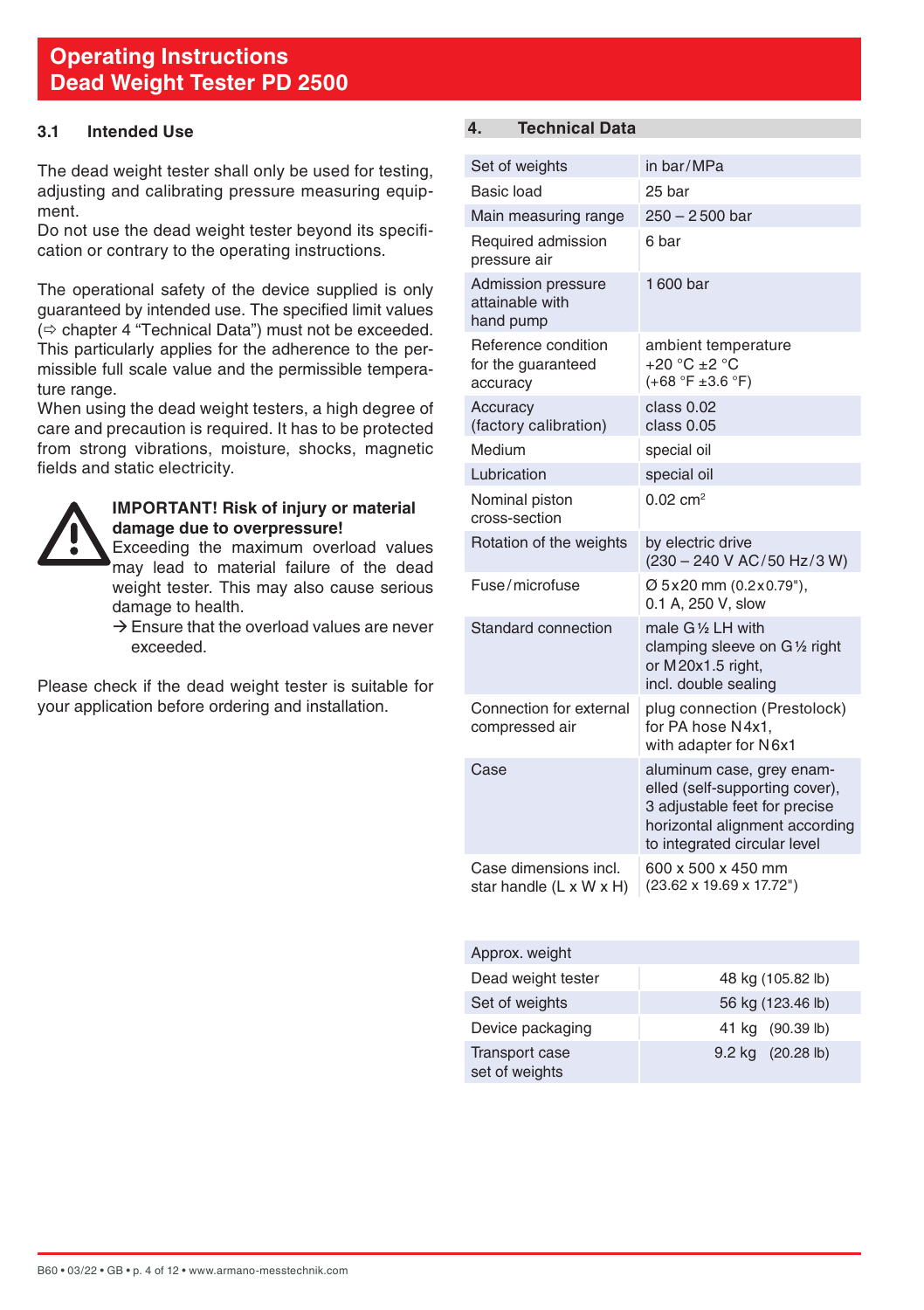## <span id="page-3-0"></span>**3.1 Intended Use**

The dead weight tester shall only be used for testing, adjusting and calibrating pressure measuring equipment.

Do not use the dead weight tester beyond its specification or contrary to the operating instructions.

The operational safety of the device supplied is only guaranteed by intended use. The specified limit values  $\Rightarrow$  chapter 4 "Technical Data") must not be exceeded. This particularly applies for the adherence to the permissible full scale value and the permissible temperature range.

When using the dead weight testers, a high degree of care and precaution is required. It has to be protected from strong vibrations, moisture, shocks, magnetic fields and static electricity.



#### **IMPORTANT! Risk of injury or material damage due to overpressure!**

 Exceeding the maximum overload values may lead to material failure of the dead weight tester. This may also cause serious damage to health.

 $\rightarrow$  Ensure that the overload values are never exceeded.

Please check if the dead weight tester is suitable for your application before ordering and installation.

# **4. Technical Data**

| Set of weights                                        | in bar/MPa                                                                                                                                                     |
|-------------------------------------------------------|----------------------------------------------------------------------------------------------------------------------------------------------------------------|
| Basic load                                            | 25 bar                                                                                                                                                         |
| Main measuring range                                  | $250 - 2500$ bar                                                                                                                                               |
| Required admission<br>pressure air                    | 6 bar                                                                                                                                                          |
| Admission pressure<br>attainable with<br>hand pump    | 1600 bar                                                                                                                                                       |
| Reference condition<br>for the quaranteed<br>accuracy | ambient temperature<br>$+20 °C + 2 °C$<br>$(+68 °F ± 3.6 °F)$                                                                                                  |
| Accuracv<br>(factory calibration)                     | class 0.02<br>class 0.05                                                                                                                                       |
| Medium                                                | special oil                                                                                                                                                    |
| Lubrication                                           | special oil                                                                                                                                                    |
| Nominal piston<br>cross-section                       | $0.02 \, \text{cm}^2$                                                                                                                                          |
| Rotation of the weights                               | by electric drive<br>(230 - 240 V AC/50 Hz/3 W)                                                                                                                |
| Fuse/microfuse                                        | Ø 5x20 mm (0.2x0.79"),<br>0.1 A. 250 V. slow                                                                                                                   |
| Standard connection                                   | male G1/ <sub>2</sub> LH with<br>clamping sleeve on G1/2 right<br>or M20x1.5 right,<br>incl. double sealing                                                    |
| Connection for external<br>compressed air             | plug connection (Prestolock)<br>for PA hose N4x1.<br>with adapter for N6x1                                                                                     |
| Case                                                  | aluminum case, grey enam-<br>elled (self-supporting cover),<br>3 adjustable feet for precise<br>horizontal alignment according<br>to integrated circular level |
| Case dimensions incl.<br>star handle (L x W x H)      | 600 x 500 x 450 mm<br>(23.62 x 19.69 x 17.72")                                                                                                                 |

| Approx. weight                          |                   |
|-----------------------------------------|-------------------|
| Dead weight tester                      | 48 kg (105.82 lb) |
| Set of weights                          | 56 kg (123.46 lb) |
| Device packaging                        | 41 kg (90.39 lb)  |
| <b>Transport case</b><br>set of weights | 9.2 kg (20.28 lb) |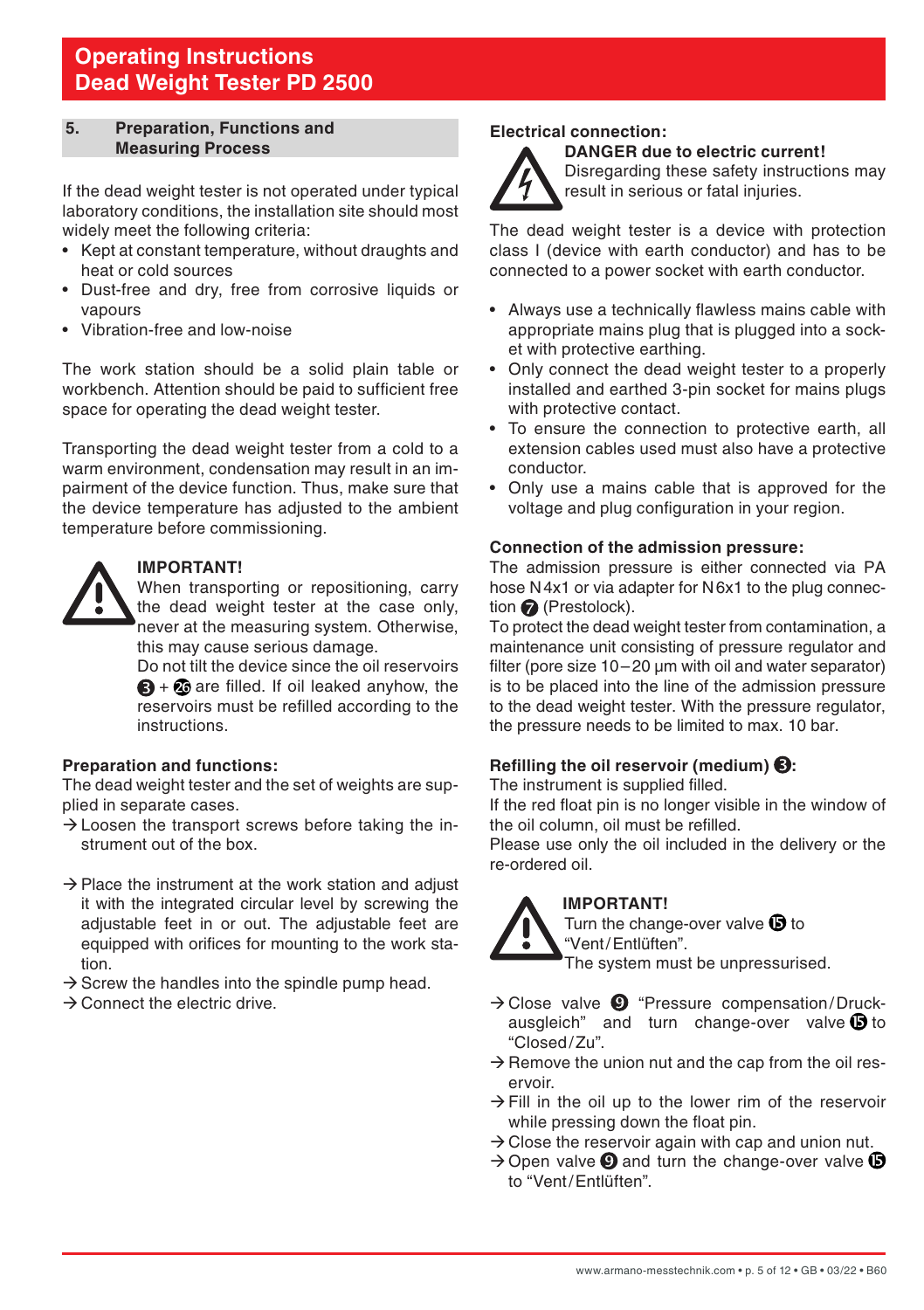#### <span id="page-4-0"></span>**5. Preparation, Functions and Measuring Process**

If the dead weight tester is not operated under typical laboratory conditions, the installation site should most widely meet the following criteria:

- Kept at constant temperature, without draughts and heat or cold sources
- Dust-free and dry, free from corrosive liquids or vapours
- Vibration-free and low-noise

The work station should be a solid plain table or workbench. Attention should be paid to sufficient free space for operating the dead weight tester.

Transporting the dead weight tester from a cold to a warm environment, condensation may result in an impairment of the device function. Thus, make sure that the device temperature has adjusted to the ambient temperature before commissioning.



#### **IMPORTANT!**

 When transporting or repositioning, carry the dead weight tester at the case only, never at the measuring system. Otherwise, this may cause serious damage.

 Do not tilt the device since the oil reservoirs  $\bigoplus$  +  $\bigoplus$  are filled. If oil leaked anyhow, the reservoirs must be refilled according to the instructions.

#### **Preparation and functions:**

The dead weight tester and the set of weights are supplied in separate cases.

- $\rightarrow$  Loosen the transport screws before taking the instrument out of the box.
- $\rightarrow$  Place the instrument at the work station and adjust it with the integrated circular level by screwing the adjustable feet in or out. The adjustable feet are equipped with orifices for mounting to the work station.
- $\rightarrow$  Screw the handles into the spindle pump head.
- $\rightarrow$  Connect the electric drive.

#### **Electrical connection: DANGER due to electric current!**

Disregarding these safety instructions may result in serious or fatal injuries.

The dead weight tester is a device with protection class I (device with earth conductor) and has to be connected to a power socket with earth conductor.

- Always use a technically flawless mains cable with appropriate mains plug that is plugged into a socket with protective earthing.
- Only connect the dead weight tester to a properly installed and earthed 3-pin socket for mains plugs with protective contact.
- To ensure the connection to protective earth, all extension cables used must also have a protective conductor.
- Only use a mains cable that is approved for the voltage and plug configuration in your region.

### **Connection of the admission pressure:**

The admission pressure is either connected via PA hose N4x1 or via adapter for N6x1 to the plug connection **@** (Prestolock).

To protect the dead weight tester from contamination, a maintenance unit consisting of pressure regulator and filter (pore size 10–20 um with oil and water separator) is to be placed into the line of the admission pressure to the dead weight tester. With the pressure regulator, the pressure needs to be limited to max. 10 bar.

#### **Refilling the oil reservoir (medium) :**

The instrument is supplied filled.

If the red float pin is no longer visible in the window of the oil column, oil must be refilled.

Please use only the oil included in the delivery or the re-ordered oil.



# **IMPORTANT!**

Turn the change-over valve  $\mathbf D$  to "Vent/Entlüften".

The system must be unpressurised.

- $\rightarrow$  Close valve  $\bullet$  "Pressure compensation/Druckausgleich" and turn change-over valve  $\bullet$  to "Closed/Zu".
- $\rightarrow$  Remove the union nut and the cap from the oil reservoir.
- $\rightarrow$  Fill in the oil up to the lower rim of the reservoir while pressing down the float pin.
- $\rightarrow$  Close the reservoir again with cap and union nut.
- $\rightarrow$  Open valve  $\odot$  and turn the change-over valve  $\odot$ to "Vent/Entlüften".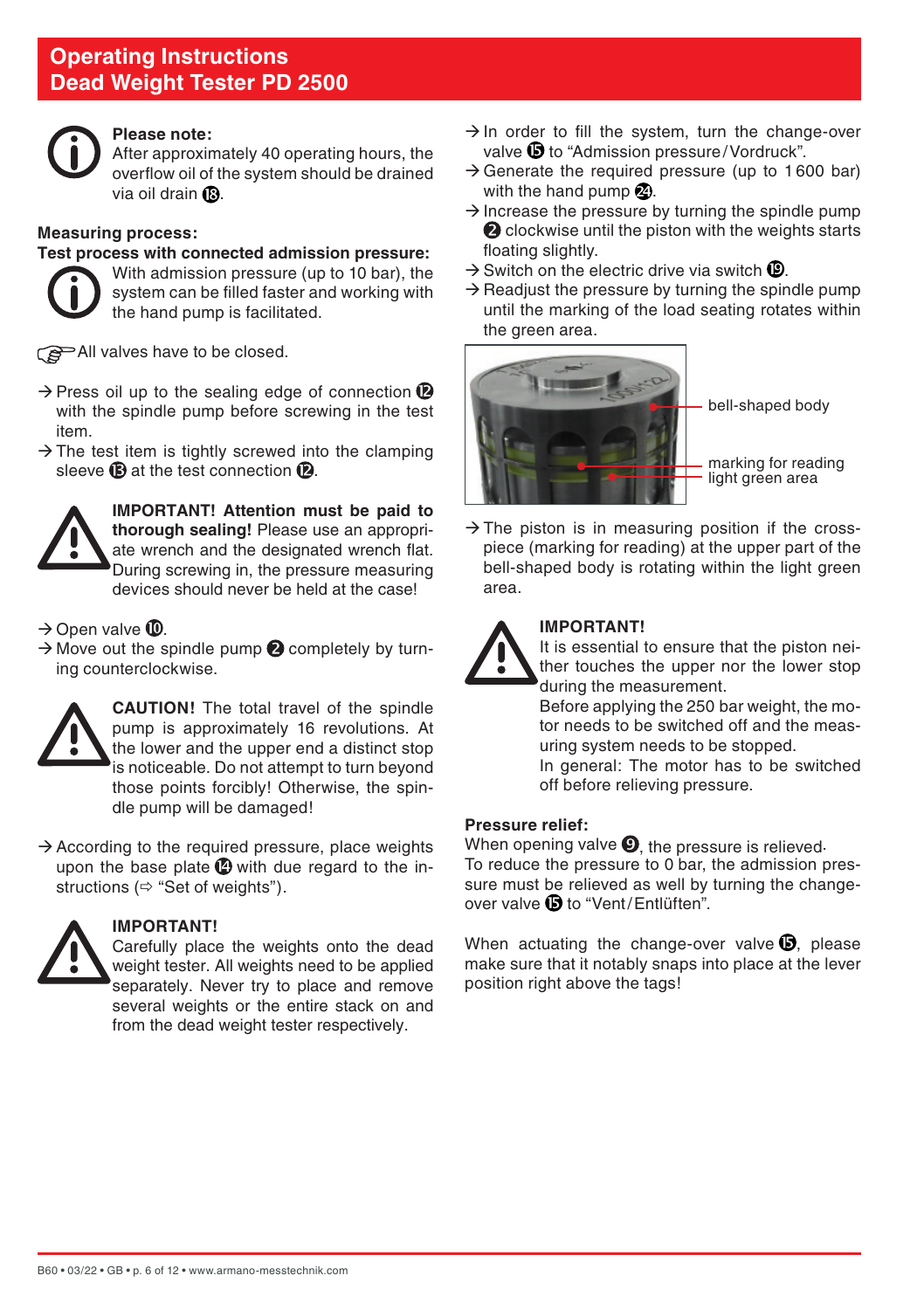

#### **Please note:**

 After approximately 40 operating hours, the overflow oil of the system should be drained via oil drain  $\mathbf{\Omega}$ .

#### **Measuring process:**

#### **Test process with connected admission pressure:**

With admission pressure (up to 10 bar), the system can be filled faster and working with the hand pump is facilitated.

All valves have to be closed.

- $\rightarrow$  Press oil up to the sealing edge of connection  $\bullet$ with the spindle pump before screwing in the test item.
- $\rightarrow$  The test item is tightly screwed into the clamping sleeve  $\mathbf{\mathbb{B}}$  at the test connection  $\mathbf{\mathbb{D}}$ .



**IMPORTANT! Attention must be paid to thorough sealing!** Please use an appropriate wrench and the designated wrench flat. During screwing in, the pressure measuring devices should never be held at the case!

#### $\rightarrow$  Open valve  $\mathbf{\mathbb{O}}$ .

 $\rightarrow$  Move out the spindle pump  $\bullet$  completely by turning counterclockwise.



**CAUTION!** The total travel of the spindle pump is approximately 16 revolutions. At the lower and the upper end a distinct stop is noticeable. Do not attempt to turn beyond those points forcibly! Otherwise, the spindle pump will be damaged!

 $\rightarrow$  According to the required pressure, place weights upon the base plate  $\mathbf 2$  with due regard to the instructions ( $\Leftrightarrow$  "Set of weights").



#### **IMPORTANT!**

 Carefully place the weights onto the dead weight tester. All weights need to be applied separately. Never try to place and remove several weights or the entire stack on and from the dead weight tester respectively.

- $\rightarrow$  In order to fill the system, turn the change-over valve to "Admission pressure/Vordruck".
- $\rightarrow$  Generate the required pressure (up to 1.600 bar) with the hand pump  $\mathcal{D}$ .
- $\rightarrow$  Increase the pressure by turning the spindle pump **2** clockwise until the piston with the weights starts floating slightly.
- $\rightarrow$  Switch on the electric drive via switch  $\mathbf{\mathbb{C}}$ .
- $\rightarrow$  Readiust the pressure by turning the spindle pump until the marking of the load seating rotates within the green area.



bell-shaped body

marking for reading light green area

 $\rightarrow$  The piston is in measuring position if the crosspiece (marking for reading) at the upper part of the bell-shaped body is rotating within the light green area.



## **IMPORTANT!**

 It is essential to ensure that the piston neither touches the upper nor the lower stop during the measurement.

 Before applying the 250 bar weight, the motor needs to be switched off and the measuring system needs to be stopped. In general: The motor has to be switched off before relieving pressure.

#### **Pressure relief:**

When opening valve  $\mathbf{Q}$ , the pressure is relieved. To reduce the pressure to 0 bar, the admission pressure must be relieved as well by turning the changeover valve  $\mathbf \Theta$  to "Vent/Entlüften".

When actuating the change-over valve  $\mathbf{\mathbb{G}}$ , please make sure that it notably snaps into place at the lever position right above the tags!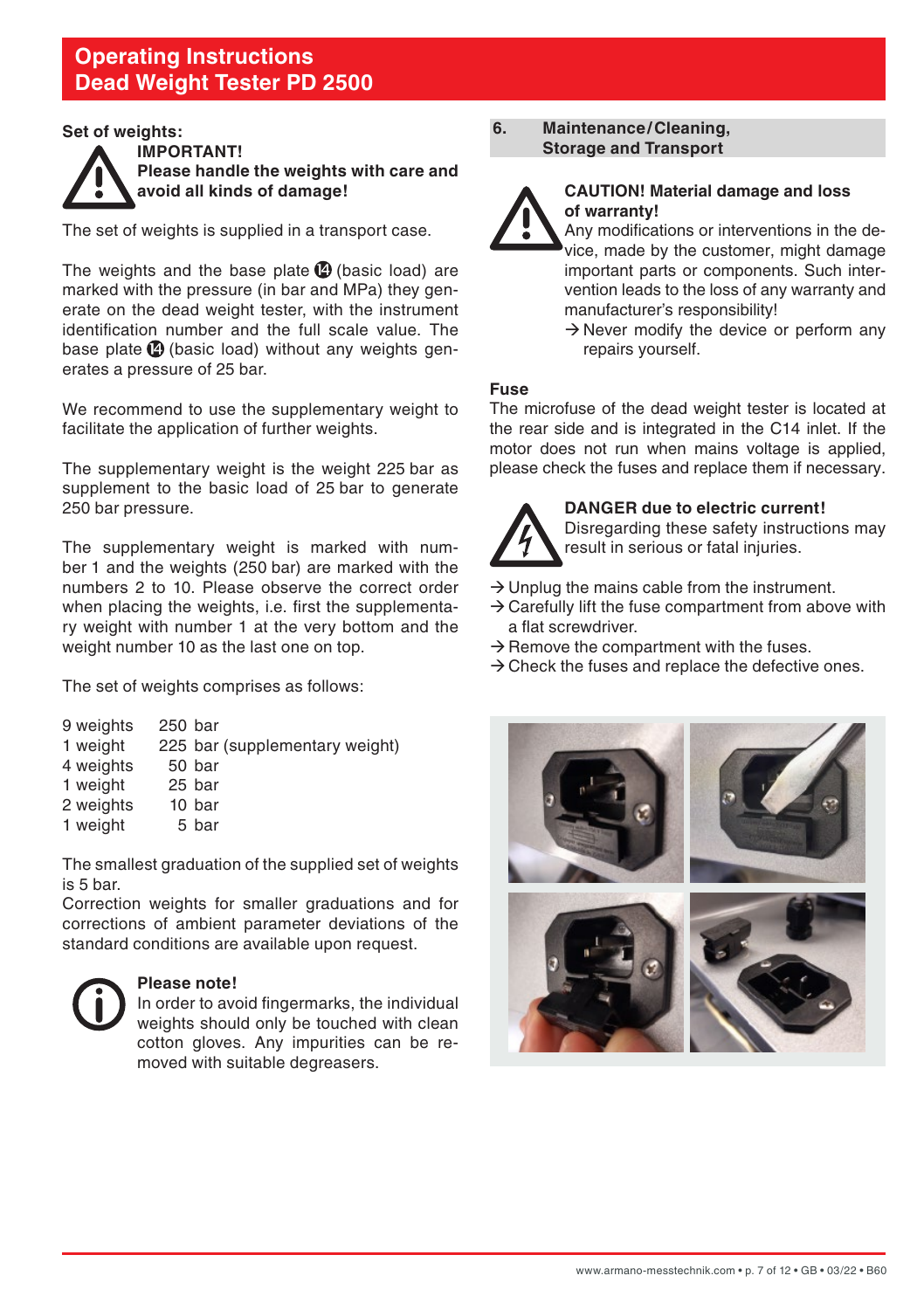#### <span id="page-6-0"></span>**Set of weights:**



**IMPORTANT! Please handle the weights with care and avoid all kinds of damage!**

The set of weights is supplied in a transport case.

The weights and the base plate  $\Phi$  (basic load) are marked with the pressure (in bar and MPa) they generate on the dead weight tester, with the instrument identification number and the full scale value. The base plate  $\bigcirc$  (basic load) without any weights generates a pressure of 25 bar.

We recommend to use the supplementary weight to facilitate the application of further weights.

The supplementary weight is the weight 225 bar as supplement to the basic load of 25 bar to generate 250 bar pressure.

The supplementary weight is marked with number 1 and the weights (250 bar) are marked with the numbers 2 to 10. Please observe the correct order when placing the weights, i.e. first the supplementary weight with number 1 at the very bottom and the weight number 10 as the last one on top.

The set of weights comprises as follows:

| 9 weights | 250 bar |                                |
|-----------|---------|--------------------------------|
| 1 weight  |         | 225 bar (supplementary weight) |
| 4 weights |         | 50 bar                         |
| 1 weight  |         | 25 bar                         |
| 2 weights |         | 10 bar                         |
| 1 weight  |         | 5 bar                          |
|           |         |                                |

The smallest graduation of the supplied set of weights is 5 bar.

Correction weights for smaller graduations and for corrections of ambient parameter deviations of the standard conditions are available upon request.



#### **Please note!**

 In order to avoid fingermarks, the individual weights should only be touched with clean cotton gloves. Any impurities can be removed with suitable degreasers.

#### **6. Maintenance/Cleaning, Storage and Transport**



#### **CAUTION! Material damage and loss of warranty!**

 Any modifications or interventions in the device, made by the customer, might damage important parts or components. Such intervention leads to the loss of any warranty and manufacturer's responsibility!

 $\rightarrow$  Never modify the device or perform any repairs yourself.

#### **Fuse**

The microfuse of the dead weight tester is located at the rear side and is integrated in the C14 inlet. If the motor does not run when mains voltage is applied. please check the fuses and replace them if necessary.



#### **DANGER due to electric current!**

Disregarding these safety instructions may result in serious or fatal injuries.

- $\rightarrow$  Unplug the mains cable from the instrument.
- $\rightarrow$  Carefully lift the fuse compartment from above with a flat screwdriver.
- $\rightarrow$  Remove the compartment with the fuses.
- $\rightarrow$  Check the fuses and replace the defective ones.

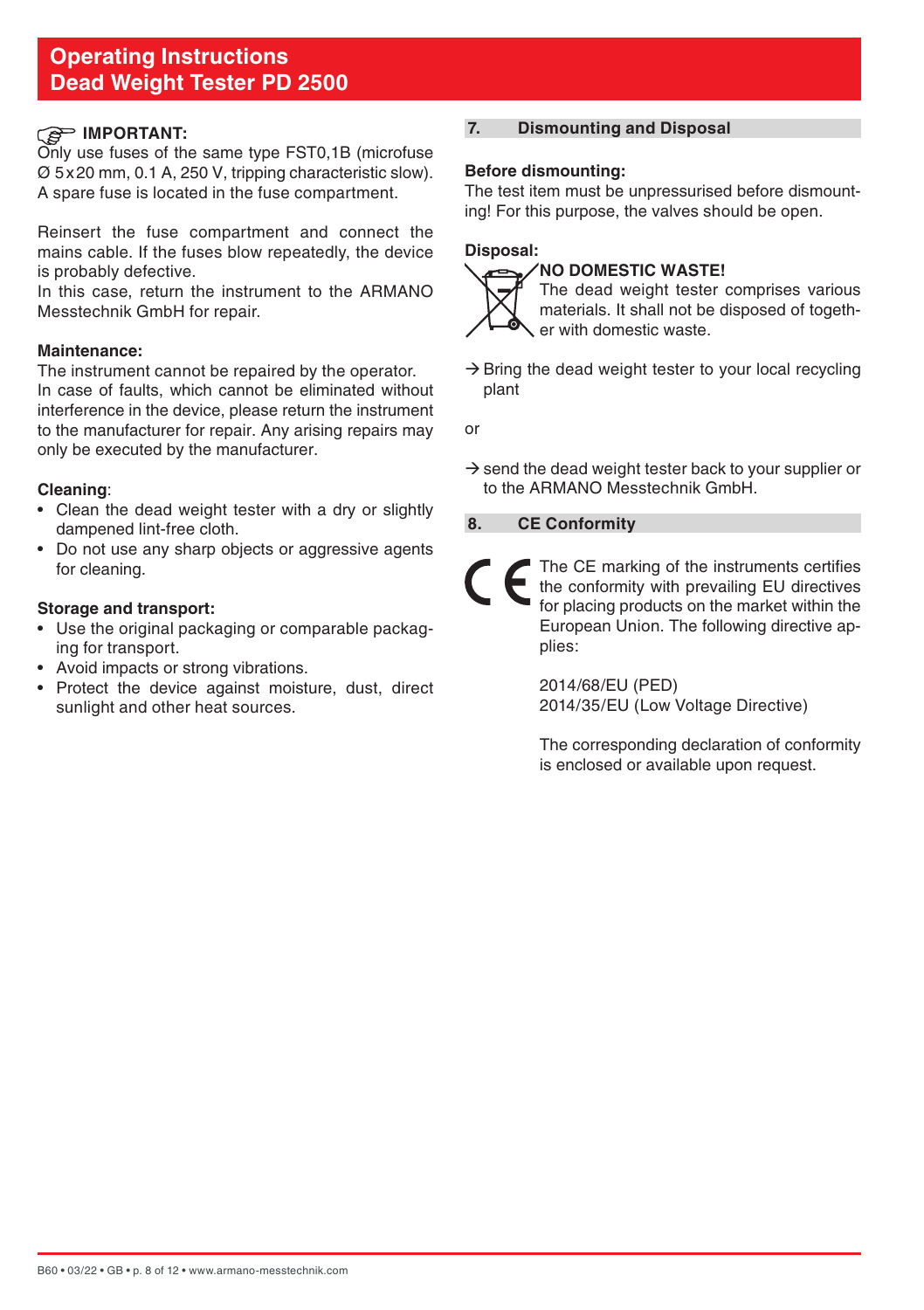## <span id="page-7-0"></span>**IMPORTANT:**

Only use fuses of the same type FST0,1B (microfuse Ø 5x20 mm, 0.1 A, 250 V, tripping characteristic slow). A spare fuse is located in the fuse compartment.

Reinsert the fuse compartment and connect the mains cable. If the fuses blow repeatedly, the device is probably defective.

In this case, return the instrument to the ARMANO Messtechnik GmbH for repair.

#### **Maintenance:**

The instrument cannot be repaired by the operator. In case of faults, which cannot be eliminated without interference in the device, please return the instrument to the manufacturer for repair. Any arising repairs may only be executed by the manufacturer.

#### **Cleaning**:

- Clean the dead weight tester with a dry or slightly dampened lint-free cloth.
- Do not use any sharp objects or aggressive agents for cleaning.

#### **Storage and transport:**

- Use the original packaging or comparable packaging for transport.
- Avoid impacts or strong vibrations.
- Protect the device against moisture, dust, direct sunlight and other heat sources.

## **7. Dismounting and Disposal**

#### **Before dismounting:**

The test item must be unpressurised before dismounting! For this purpose, the valves should be open.

## **Disposal:**

#### **NO DOMESTIC WASTE!**



 The dead weight tester comprises various materials. It shall not be disposed of together with domestic waste.

 $\rightarrow$  Bring the dead weight tester to your local recycling plant

or

 $\rightarrow$  send the dead weight tester back to your supplier or to the ARMANO Messtechnik GmbH.

## **8. CE Conformity**



The CE marking of the instruments certifies the conformity with prevailing EU directives for placing products on the market within the European Union. The following directive applies:

 2014/68/EU (PED) 2014/35/EU (Low Voltage Directive)

 The corresponding declaration of conformity is enclosed or available upon request.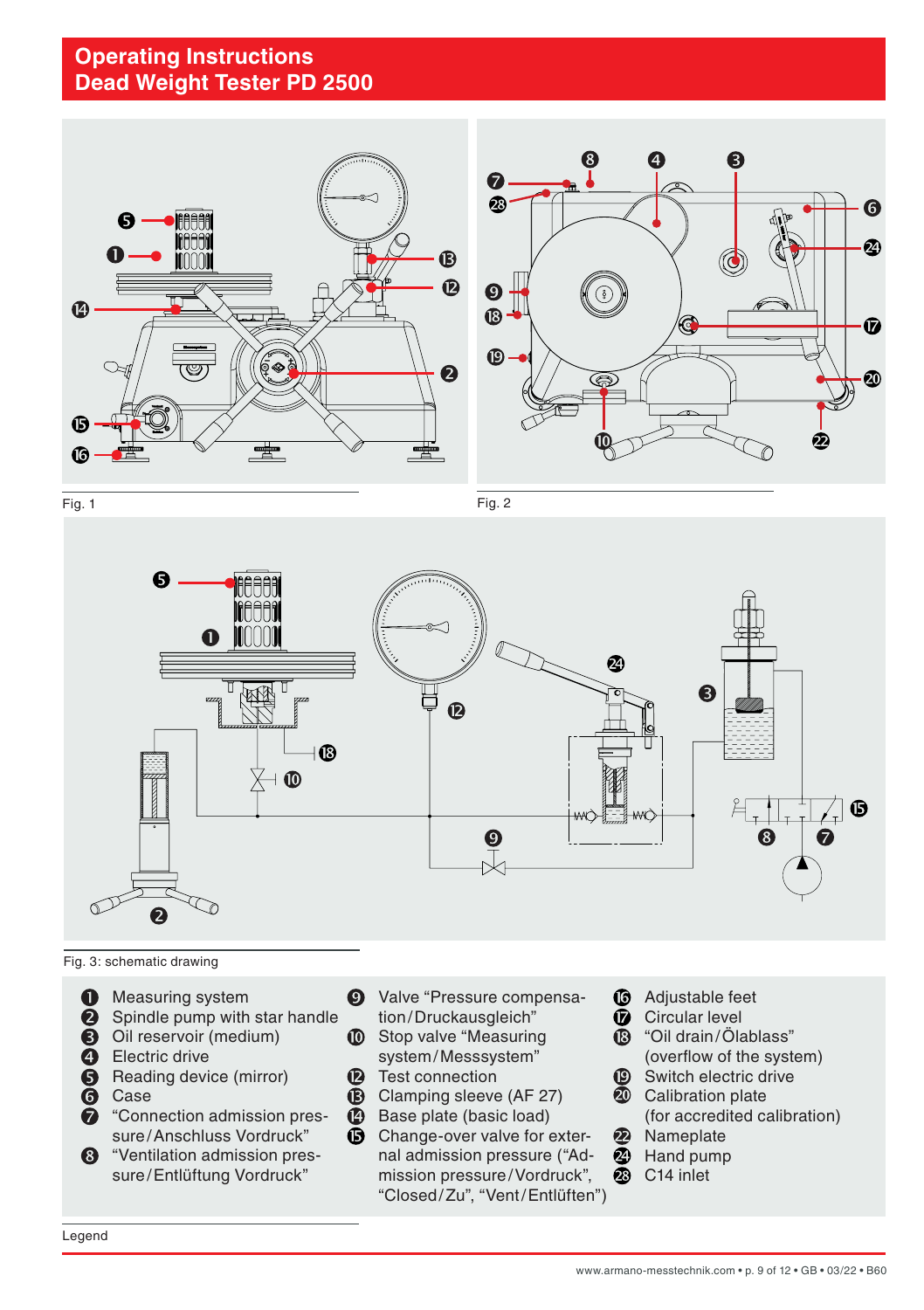

Fig. 1 Fig. 2 Fig. 2 Fig. 2 Poster Policy Policy Policy Policy Policy Policy Policy Policy Policy Policy Policy<br>Policy Policy Policy Policy Policy Policy Policy Policy Policy Policy Policy Policy Policy Policy Policy Polic F F

Fig. 2



Fig. 3: schematic drawing

- **O** Measuring system
- **2** Spindle pump with star handle
- Oil reservoir (medium) **in UD** Stop
- **e** Electric drive
- Reading device (mirror)
- Case
- "Connection admission pressure/Anschluss Vordruck"
- <sup>3</sup> "Ventilation admission pressure/Entlüftung Vordruck"
- **1** Measuring system **Q** Valve "Pressure compensa- **C** Adjustable feet tion/Druckausgleich"
	- Stop valve "Measuring system/Messsystem"
	- **2** Test connection
	- **B** Clamping sleeve (AF 27)
	- Base plate (basic load)
	- **G** Change-over valve for external admission pressure ("Admission pressure/Vordruck", "Closed/Zu", "Vent/Entlüften")
- $\cdot$  **C** Adjustable feet
	- Circular level **ARMANO**
- asuring **Conduct Conduct Act of Science**<br>asuring **Conduct Conduct Conduct Conduct Conduct** 2016  $\overline{\mathbb{B}}$  "
	- (overflow of the system) Switch electric drive ⊕
	- **20** Calibration plate
	- (for accredited calibration)

G

Ø

 $\mathbf \Phi$ 

- $\boldsymbol{\Omega}$ Nameplate
- $\bar{z}$ Hand pump
- ☎ C14 inlet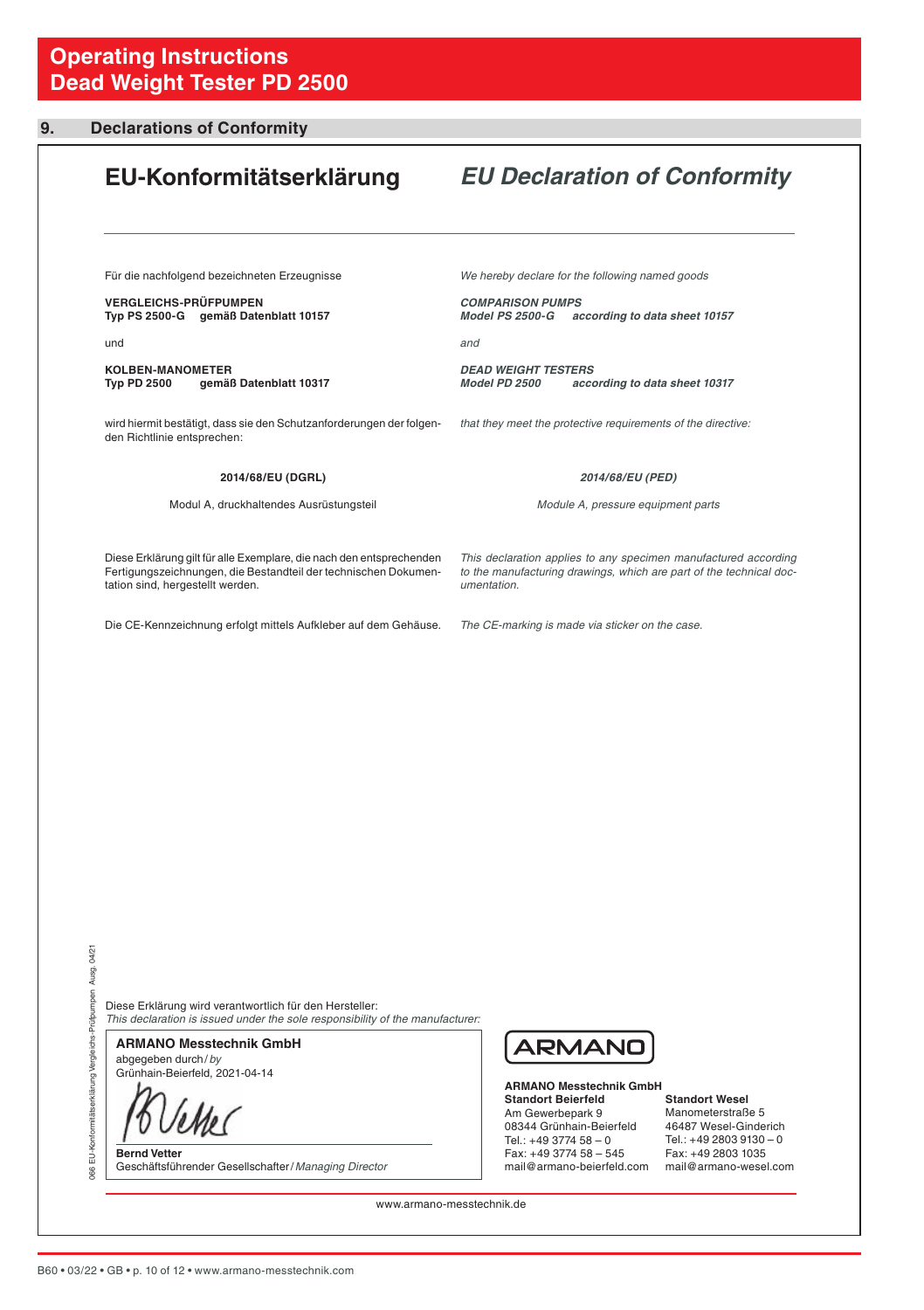## <span id="page-9-0"></span>**9. Declarations of Conformity**

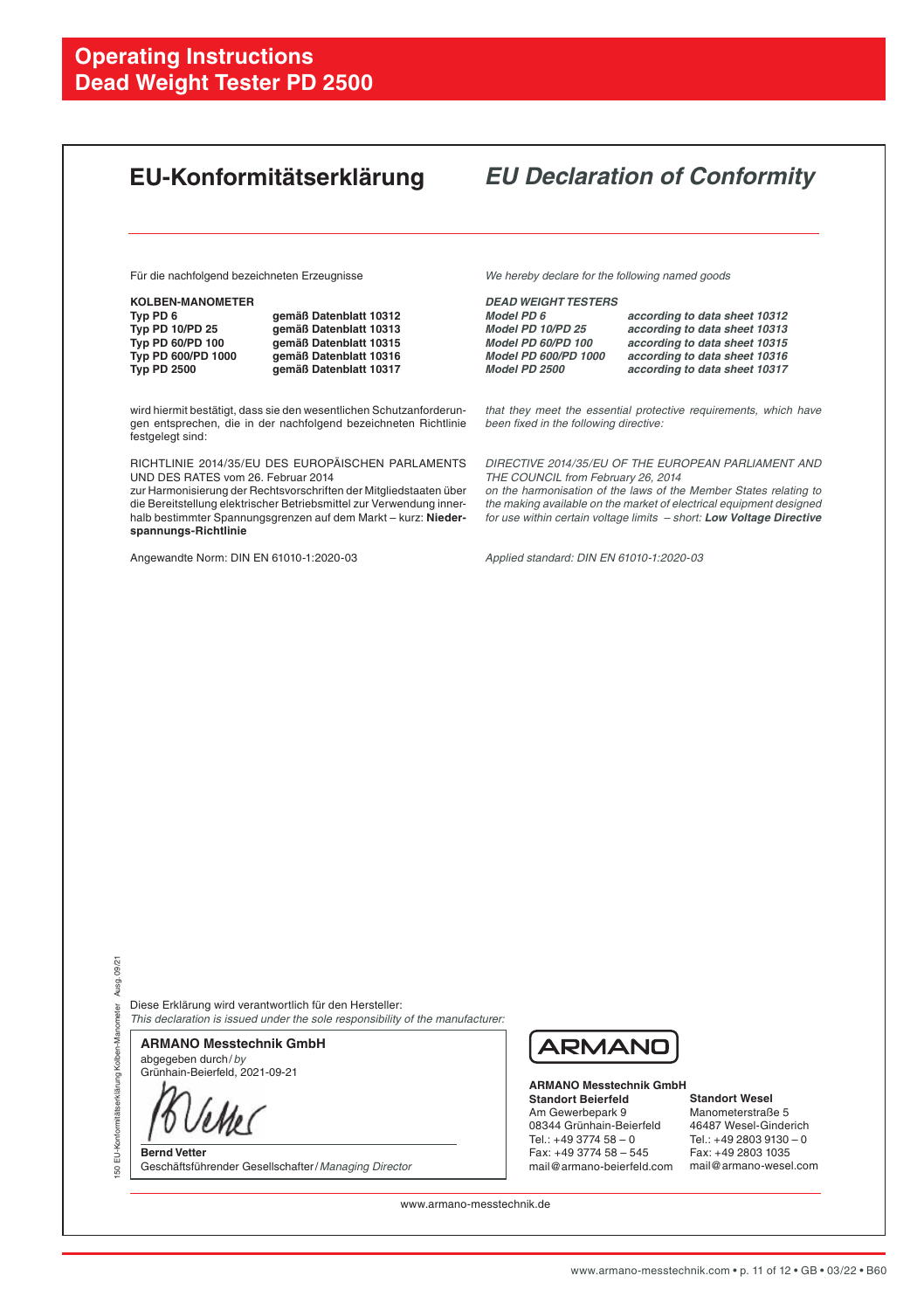|                                                                                                                                                                                                                                                                                                                               | EU-Konformitätserklärung                                                                                                                 |                                                                                                                                                                                                                                                                                                               | <b>EU Declaration of Conformity</b>                                                                                                                               |  |
|-------------------------------------------------------------------------------------------------------------------------------------------------------------------------------------------------------------------------------------------------------------------------------------------------------------------------------|------------------------------------------------------------------------------------------------------------------------------------------|---------------------------------------------------------------------------------------------------------------------------------------------------------------------------------------------------------------------------------------------------------------------------------------------------------------|-------------------------------------------------------------------------------------------------------------------------------------------------------------------|--|
| Für die nachfolgend bezeichneten Erzeugnisse                                                                                                                                                                                                                                                                                  |                                                                                                                                          | We hereby declare for the following named goods                                                                                                                                                                                                                                                               |                                                                                                                                                                   |  |
| <b>KOLBEN-MANOMETER</b><br>Typ PD 6<br>Typ PD 10/PD 25<br>Typ PD 60/PD 100<br>Typ PD 600/PD 1000<br><b>Typ PD 2500</b>                                                                                                                                                                                                        | gemäß Datenblatt 10312<br>gemäß Datenblatt 10313<br>gemäß Datenblatt 10315<br>gemäß Datenblatt 10316<br>gemäß Datenblatt 10317           | <b>DEAD WEIGHT TESTERS</b><br>Model PD 6<br>Model PD 10/PD 25<br>Model PD 60/PD 100<br>Model PD 600/PD 1000<br>Model PD 2500                                                                                                                                                                                  | according to data sheet 10312<br>according to data sheet 10313<br>according to data sheet 10315<br>according to data sheet 10316<br>according to data sheet 10317 |  |
| festgelegt sind:                                                                                                                                                                                                                                                                                                              | wird hiermit bestätigt, dass sie den wesentlichen Schutzanforderun-<br>gen entsprechen, die in der nachfolgend bezeichneten Richtlinie   | that they meet the essential protective requirements, which have<br>been fixed in the following directive:                                                                                                                                                                                                    |                                                                                                                                                                   |  |
| RICHTLINIE 2014/35/EU DES EUROPÄISCHEN PARLAMENTS<br>UND DES RATES vom 26. Februar 2014<br>zur Harmonisierung der Rechtsvorschriften der Mitgliedstaaten über<br>die Bereitstellung elektrischer Betriebsmittel zur Verwendung inner-<br>halb bestimmter Spannungsgrenzen auf dem Markt-kurz: Nieder-<br>spannungs-Richtlinie |                                                                                                                                          | DIRECTIVE 2014/35/EU OF THE EUROPEAN PARLIAMENT AND<br>THE COUNCIL from February 26, 2014<br>on the harmonisation of the laws of the Member States relating to<br>the making available on the market of electrical equipment designed<br>for use within certain voltage limits - short: Low Voltage Directive |                                                                                                                                                                   |  |
| Angewandte Norm: DIN EN 61010-1:2020-03                                                                                                                                                                                                                                                                                       |                                                                                                                                          | Applied standard: DIN EN 61010-1:2020-03                                                                                                                                                                                                                                                                      |                                                                                                                                                                   |  |
|                                                                                                                                                                                                                                                                                                                               |                                                                                                                                          |                                                                                                                                                                                                                                                                                                               |                                                                                                                                                                   |  |
| <b>ARMANO Messtechnik GmbH</b><br>abgegeben durch/by<br>Grünhain-Beierfeld, 2021-09-21                                                                                                                                                                                                                                        | Diese Erklärung wird verantwortlich für den Hersteller:<br>This declaration is issued under the sole responsibility of the manufacturer: | ARMANC                                                                                                                                                                                                                                                                                                        |                                                                                                                                                                   |  |